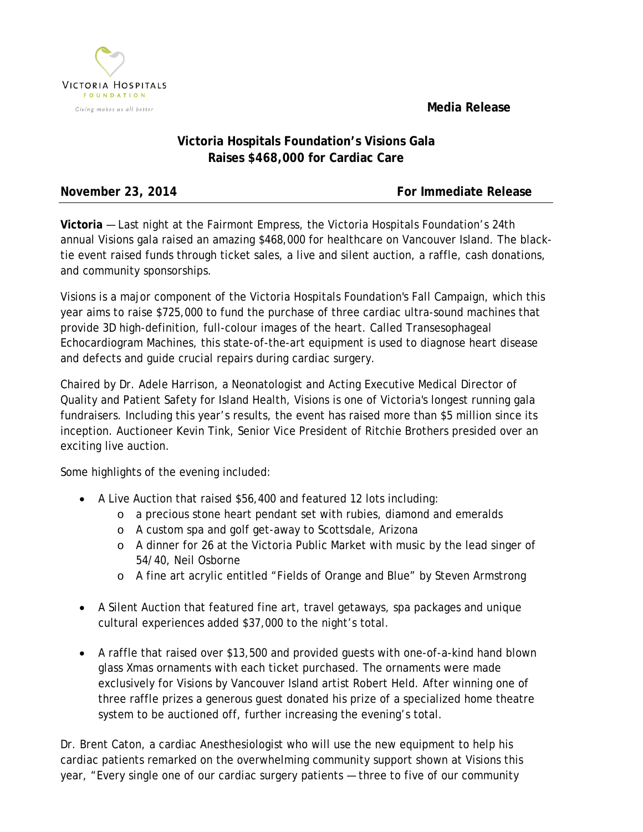**Media Release**



## **Victoria Hospitals Foundation's Visions Gala Raises \$468,000 for Cardiac Care**

**November 23, 2014 For Immediate Release** 

**Victoria** — Last night at the Fairmont Empress, the Victoria Hospitals Foundation's 24th annual Visions gala raised an amazing \$468,000 for healthcare on Vancouver Island. The blacktie event raised funds through ticket sales, a live and silent auction, a raffle, cash donations, and community sponsorships.

Visions is a major component of the Victoria Hospitals Foundation's Fall Campaign, which this year aims to raise \$725,000 to fund the purchase of three cardiac ultra-sound machines that provide 3D high-definition, full-colour images of the heart. Called Transesophageal Echocardiogram Machines, this state-of-the-art equipment is used to diagnose heart disease and defects and guide crucial repairs during cardiac surgery.

Chaired by Dr. Adele Harrison, a Neonatologist and Acting Executive Medical Director of Quality and Patient Safety for Island Health, Visions is one of Victoria's longest running gala fundraisers. Including this year's results, the event has raised more than \$5 million since its inception. Auctioneer Kevin Tink, Senior Vice President of Ritchie Brothers presided over an exciting live auction.

Some highlights of the evening included:

- A Live Auction that raised \$56,400 and featured 12 lots including:
	- o a precious stone heart pendant set with rubies, diamond and emeralds
	- o A custom spa and golf get-away to Scottsdale, Arizona
	- o A dinner for 26 at the Victoria Public Market with music by the lead singer of 54/40, Neil Osborne
	- o A fine art acrylic entitled "Fields of Orange and Blue" by Steven Armstrong
- A Silent Auction that featured fine art, travel getaways, spa packages and unique cultural experiences added \$37,000 to the night's total.
- A raffle that raised over \$13,500 and provided guests with one-of-a-kind hand blown glass Xmas ornaments with each ticket purchased. The ornaments were made exclusively for Visions by Vancouver Island artist Robert Held. After winning one of three raffle prizes a generous guest donated his prize of a specialized home theatre system to be auctioned off, further increasing the evening's total.

Dr. Brent Caton, a cardiac Anesthesiologist who will use the new equipment to help his cardiac patients remarked on the overwhelming community support shown at Visions this year, "Every single one of our cardiac surgery patients — three to five of our community